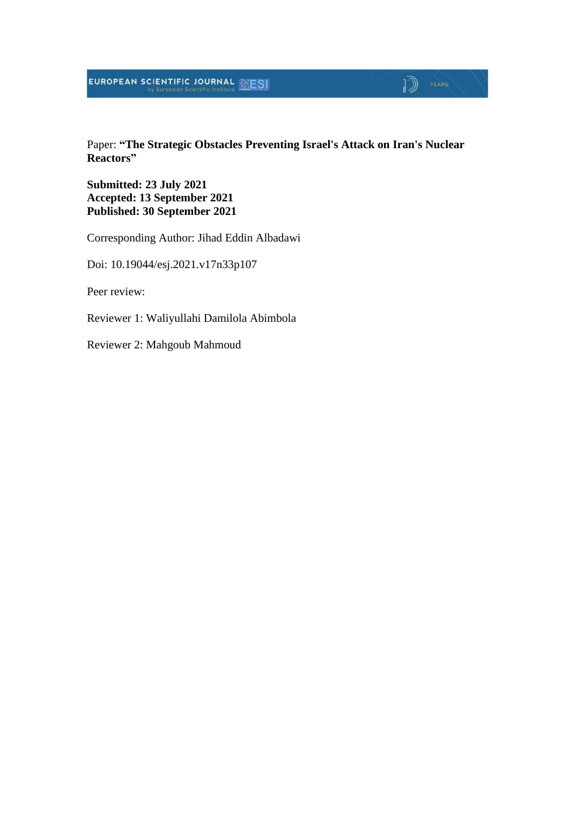### **EUROPEAN SCIENTIFIC JOURNAL ESESI**

#### Paper: **"The Strategic Obstacles Preventing Israel's Attack on Iran's Nuclear Reactors"**

 $\sqrt{2}$   $\sqrt{2}$ 

**Submitted: 23 July 2021 Accepted: 13 September 2021 Published: 30 September 2021**

Corresponding Author: Jihad Eddin Albadawi

Doi: 10.19044/esj.2021.v17n33p107

Peer review:

Reviewer 1: Waliyullahi Damilola Abimbola

Reviewer 2: Mahgoub Mahmoud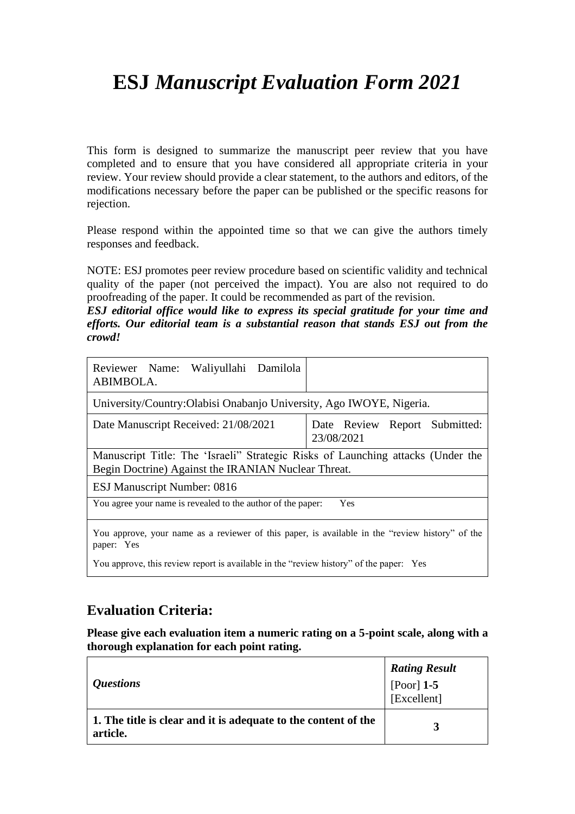# **ESJ** *Manuscript Evaluation Form 2021*

This form is designed to summarize the manuscript peer review that you have completed and to ensure that you have considered all appropriate criteria in your review. Your review should provide a clear statement, to the authors and editors, of the modifications necessary before the paper can be published or the specific reasons for rejection.

Please respond within the appointed time so that we can give the authors timely responses and feedback.

NOTE: ESJ promotes peer review procedure based on scientific validity and technical quality of the paper (not perceived the impact). You are also not required to do proofreading of the paper. It could be recommended as part of the revision.

*ESJ editorial office would like to express its special gratitude for your time and efforts. Our editorial team is a substantial reason that stands ESJ out from the crowd!*

| Reviewer Name: Waliyullahi Damilola<br>ABIMBOLA.                                                                                        |                                                |  |  |
|-----------------------------------------------------------------------------------------------------------------------------------------|------------------------------------------------|--|--|
| University/Country: Olabisi Onabanjo University, Ago IWOYE, Nigeria.                                                                    |                                                |  |  |
| Date Manuscript Received: 21/08/2021                                                                                                    | Report Submitted:<br>Date Review<br>23/08/2021 |  |  |
| Manuscript Title: The 'Israeli'' Strategic Risks of Launching attacks (Under the<br>Begin Doctrine) Against the IRANIAN Nuclear Threat. |                                                |  |  |
| <b>ESJ Manuscript Number: 0816</b>                                                                                                      |                                                |  |  |
| You agree your name is revealed to the author of the paper:                                                                             | Yes                                            |  |  |
| You approve, your name as a reviewer of this paper, is available in the "review history" of the<br>paper: Yes                           |                                                |  |  |

You approve, this review report is available in the "review history" of the paper: Yes

## **Evaluation Criteria:**

**Please give each evaluation item a numeric rating on a 5-point scale, along with a thorough explanation for each point rating.**

| <i><b>Ouestions</b></i>                                                    | <b>Rating Result</b><br>[Poor] $1-5$<br>[Excellent] |
|----------------------------------------------------------------------------|-----------------------------------------------------|
| 1. The title is clear and it is adequate to the content of the<br>article. | 3                                                   |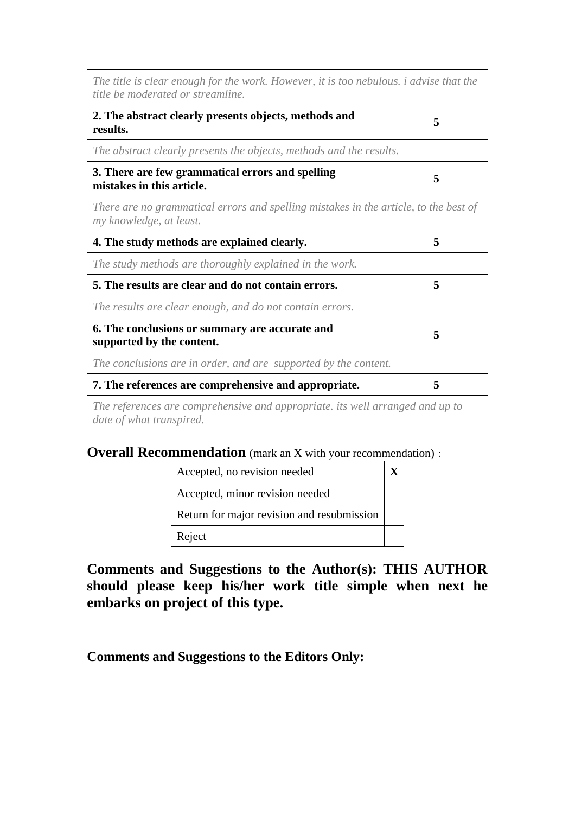| The title is clear enough for the work. However, it is too nebulous. <i>i</i> advise that the<br>title be moderated or streamline. |   |
|------------------------------------------------------------------------------------------------------------------------------------|---|
| 2. The abstract clearly presents objects, methods and<br>results.                                                                  | 5 |
| The abstract clearly presents the objects, methods and the results.                                                                |   |
| 3. There are few grammatical errors and spelling<br>mistakes in this article.                                                      | 5 |
| There are no grammatical errors and spelling mistakes in the article, to the best of<br>my knowledge, at least.                    |   |
| 4. The study methods are explained clearly.                                                                                        | 5 |
| The study methods are thoroughly explained in the work.                                                                            |   |
| 5. The results are clear and do not contain errors.                                                                                | 5 |
| The results are clear enough, and do not contain errors.                                                                           |   |
| 6. The conclusions or summary are accurate and<br>supported by the content.                                                        | 5 |
| The conclusions are in order, and are supported by the content.                                                                    |   |
| 7. The references are comprehensive and appropriate.                                                                               | 5 |
| The references are comprehensive and appropriate. its well arranged and up to<br>date of what transpired.                          |   |

### **Overall Recommendation** (mark an X with your recommendation):

| Accepted, no revision needed               |  |
|--------------------------------------------|--|
| Accepted, minor revision needed            |  |
| Return for major revision and resubmission |  |
| Reject                                     |  |

## **Comments and Suggestions to the Author(s): THIS AUTHOR should please keep his/her work title simple when next he embarks on project of this type.**

**Comments and Suggestions to the Editors Only:**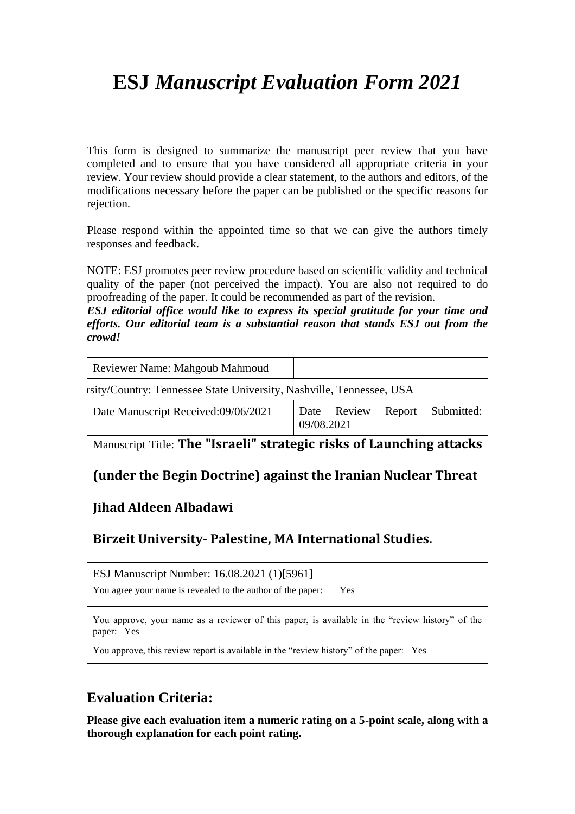# **ESJ** *Manuscript Evaluation Form 2021*

This form is designed to summarize the manuscript peer review that you have completed and to ensure that you have considered all appropriate criteria in your review. Your review should provide a clear statement, to the authors and editors, of the modifications necessary before the paper can be published or the specific reasons for rejection.

Please respond within the appointed time so that we can give the authors timely responses and feedback.

NOTE: ESJ promotes peer review procedure based on scientific validity and technical quality of the paper (not perceived the impact). You are also not required to do proofreading of the paper. It could be recommended as part of the revision.

*ESJ editorial office would like to express its special gratitude for your time and efforts. Our editorial team is a substantial reason that stands ESJ out from the crowd!*

| Review<br>Date<br>09/08.2021                                       | Report                                      | Submitted:                                                                                                                                                                                                                                                                     |
|--------------------------------------------------------------------|---------------------------------------------|--------------------------------------------------------------------------------------------------------------------------------------------------------------------------------------------------------------------------------------------------------------------------------|
|                                                                    |                                             |                                                                                                                                                                                                                                                                                |
|                                                                    |                                             |                                                                                                                                                                                                                                                                                |
|                                                                    |                                             |                                                                                                                                                                                                                                                                                |
| You agree your name is revealed to the author of the paper:<br>Yes |                                             |                                                                                                                                                                                                                                                                                |
|                                                                    | ESJ Manuscript Number: 16.08.2021 (1)[5961] | sity/Country: Tennessee State University, Nashville, Tennessee, USA<br>Manuscript Title: The "Israeli" strategic risks of Launching attacks<br>(under the Begin Doctrine) against the Iranian Nuclear Threat<br><b>Birzeit University-Palestine, MA International Studies.</b> |

You approve, this review report is available in the "review history" of the paper: Yes

### **Evaluation Criteria:**

**Please give each evaluation item a numeric rating on a 5-point scale, along with a thorough explanation for each point rating.**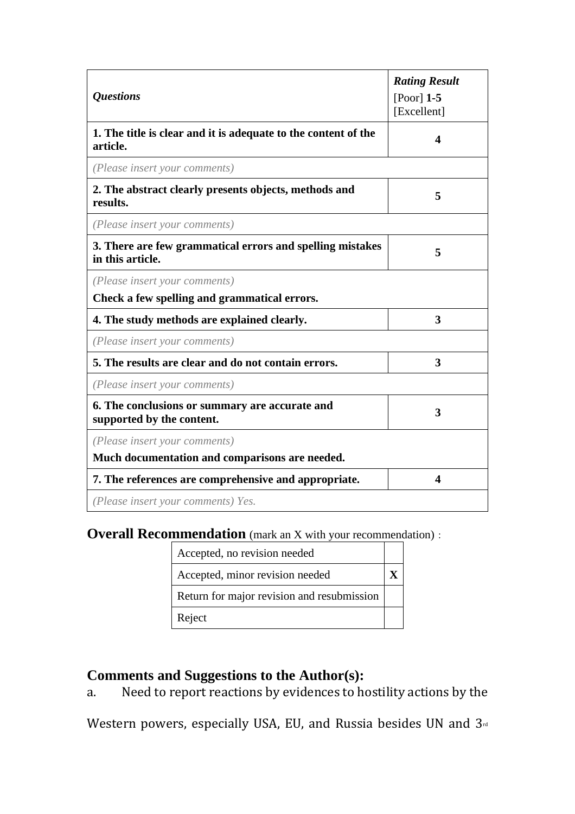| <b>Questions</b>                                                              | <b>Rating Result</b><br>[Poor] $1-5$<br>[Excellent] |
|-------------------------------------------------------------------------------|-----------------------------------------------------|
| 1. The title is clear and it is adequate to the content of the<br>article.    | 4                                                   |
| (Please insert your comments)                                                 |                                                     |
| 2. The abstract clearly presents objects, methods and<br>results.             | 5                                                   |
| (Please insert your comments)                                                 |                                                     |
| 3. There are few grammatical errors and spelling mistakes<br>in this article. | 5                                                   |
| (Please insert your comments)<br>Check a few spelling and grammatical errors. |                                                     |
| 4. The study methods are explained clearly.                                   | 3                                                   |
| (Please insert your comments)                                                 |                                                     |
| 5. The results are clear and do not contain errors.                           | 3                                                   |
| (Please insert your comments)                                                 |                                                     |
| 6. The conclusions or summary are accurate and<br>supported by the content.   | 3                                                   |
| (Please insert your comments)                                                 |                                                     |
| Much documentation and comparisons are needed.                                |                                                     |
| 7. The references are comprehensive and appropriate.                          | 4                                                   |
| (Please insert your comments) Yes.                                            |                                                     |

## **Overall Recommendation** (mark an X with your recommendation):

| Accepted, no revision needed               |  |
|--------------------------------------------|--|
| Accepted, minor revision needed            |  |
| Return for major revision and resubmission |  |
| Reject                                     |  |

## **Comments and Suggestions to the Author(s):**

a. Need to report reactions by evidences to hostility actions by the

Western powers, especially USA, EU, and Russia besides UN and 3rd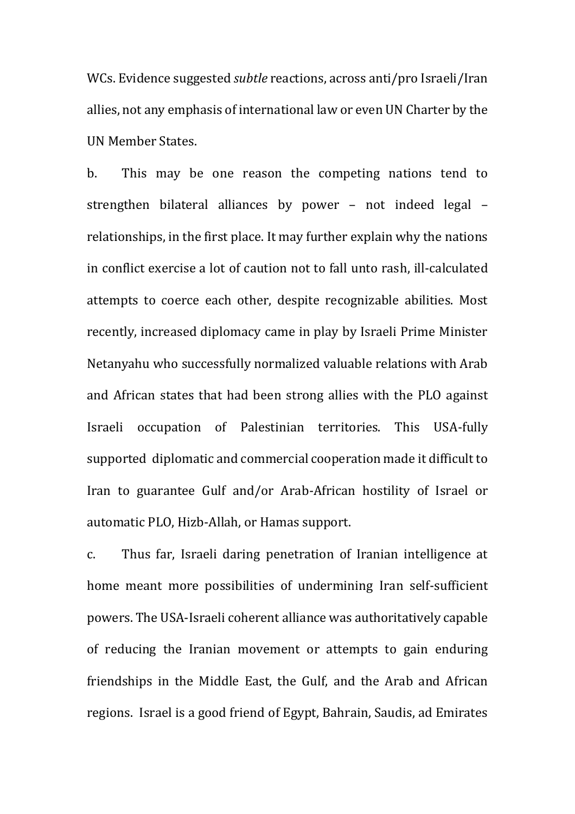WCs. Evidence suggested *subtle* reactions, across anti/pro Israeli/Iran allies, not any emphasis of international law or even UN Charter by the UN Member States.

b. This may be one reason the competing nations tend to strengthen bilateral alliances by power – not indeed legal – relationships, in the first place. It may further explain why the nations in conflict exercise a lot of caution not to fall unto rash, ill-calculated attempts to coerce each other, despite recognizable abilities. Most recently, increased diplomacy came in play by Israeli Prime Minister Netanyahu who successfully normalized valuable relations with Arab and African states that had been strong allies with the PLO against Israeli occupation of Palestinian territories. This USA-fully supported diplomatic and commercial cooperation made it difficult to Iran to guarantee Gulf and/or Arab-African hostility of Israel or automatic PLO, Hizb-Allah, or Hamas support.

c. Thus far, Israeli daring penetration of Iranian intelligence at home meant more possibilities of undermining Iran self-sufficient powers. The USA-Israeli coherent alliance was authoritatively capable of reducing the Iranian movement or attempts to gain enduring friendships in the Middle East, the Gulf, and the Arab and African regions. Israel is a good friend of Egypt, Bahrain, Saudis, ad Emirates